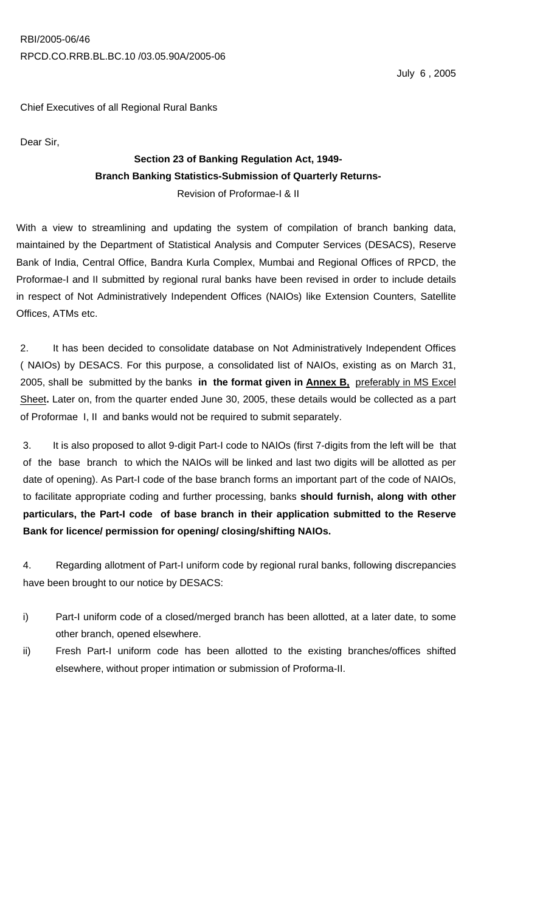# Chief Executives of all Regional Rural Banks

Dear Sir,

# **Section 23 of Banking Regulation Act, 1949- Branch Banking Statistics-Submission of Quarterly Returns-**Revision of Proformae-I & II

With a view to streamlining and updating the system of compilation of branch banking data, maintained by the Department of Statistical Analysis and Computer Services (DESACS), Reserve Bank of India, Central Office, Bandra Kurla Complex, Mumbai and Regional Offices of RPCD, the Proformae-I and II submitted by regional rural banks have been revised in order to include details in respect of Not Administratively Independent Offices (NAIOs) like Extension Counters, Satellite Offices, ATMs etc.

2. It has been decided to consolidate database on Not Administratively Independent Offices ( NAIOs) by DESACS. For this purpose, a consolidated list of NAIOs, existing as on March 31, 2005, shall be submitted by the banks **in the format given in Annex B,** preferably in MS Excel Sheet**.** Later on, from the quarter ended June 30, 2005, these details would be collected as a part of Proformae I, II and banks would not be required to submit separately.

3. It is also proposed to allot 9-digit Part-I code to NAIOs (first 7-digits from the left will be that of the base branch to which the NAIOs will be linked and last two digits will be allotted as per date of opening). As Part-I code of the base branch forms an important part of the code of NAIOs, to facilitate appropriate coding and further processing, banks **should furnish, along with other particulars, the Part-I code of base branch in their application submitted to the Reserve Bank for licence/ permission for opening/ closing/shifting NAIOs.**

4. Regarding allotment of Part-I uniform code by regional rural banks, following discrepancies have been brought to our notice by DESACS:

- i) Part-I uniform code of a closed/merged branch has been allotted, at a later date, to some other branch, opened elsewhere.
- ii) Fresh Part-I uniform code has been allotted to the existing branches/offices shifted elsewhere, without proper intimation or submission of Proforma-II.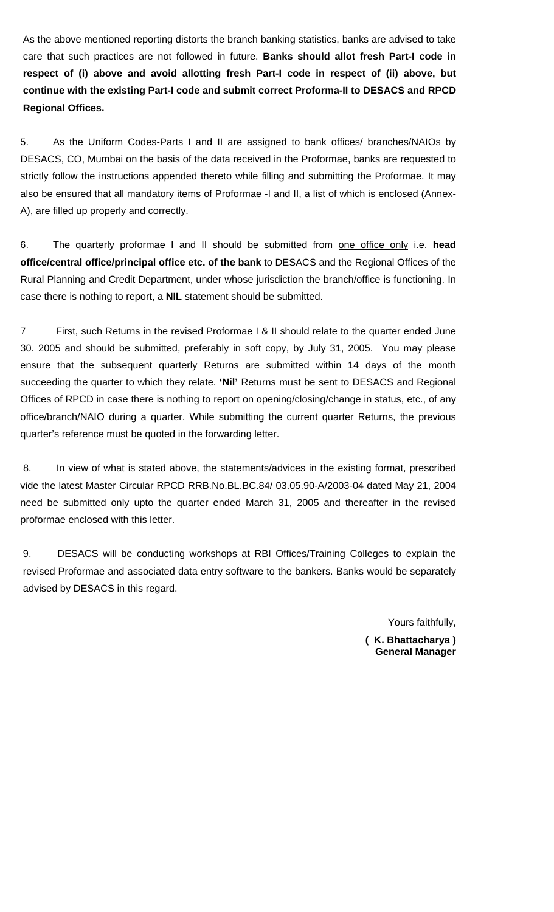As the above mentioned reporting distorts the branch banking statistics, banks are advised to take care that such practices are not followed in future. **Banks should allot fresh Part-I code in respect of (i) above and avoid allotting fresh Part-I code in respect of (ii) above, but continue with the existing Part-I code and submit correct Proforma-II to DESACS and RPCD Regional Offices.**

5. As the Uniform Codes-Parts I and II are assigned to bank offices/ branches/NAIOs by DESACS, CO, Mumbai on the basis of the data received in the Proformae, banks are requested to strictly follow the instructions appended thereto while filling and submitting the Proformae. It may also be ensured that all mandatory items of Proformae -I and II, a list of which is enclosed (Annex-A), are filled up properly and correctly.

6. The quarterly proformae I and II should be submitted from one office only i.e. **head office/central office/principal office etc. of the bank** to DESACS and the Regional Offices of the Rural Planning and Credit Department, under whose jurisdiction the branch/office is functioning. In case there is nothing to report, a **NIL** statement should be submitted.

7 First, such Returns in the revised Proformae I & II should relate to the quarter ended June 30. 2005 and should be submitted, preferably in soft copy, by July 31, 2005. You may please ensure that the subsequent quarterly Returns are submitted within 14 days of the month succeeding the quarter to which they relate. **'Nil'** Returns must be sent to DESACS and Regional Offices of RPCD in case there is nothing to report on opening/closing/change in status, etc., of any office/branch/NAIO during a quarter. While submitting the current quarter Returns, the previous quarter's reference must be quoted in the forwarding letter.

 8. In view of what is stated above, the statements/advices in the existing format, prescribed vide the latest Master Circular RPCD RRB.No.BL.BC.84/ 03.05.90-A/2003-04 dated May 21, 2004 need be submitted only upto the quarter ended March 31, 2005 and thereafter in the revised proformae enclosed with this letter.

9. DESACS will be conducting workshops at RBI Offices/Training Colleges to explain the revised Proformae and associated data entry software to the bankers. Banks would be separately advised by DESACS in this regard.

Yours faithfully,

**( K. Bhattacharya ) General Manager**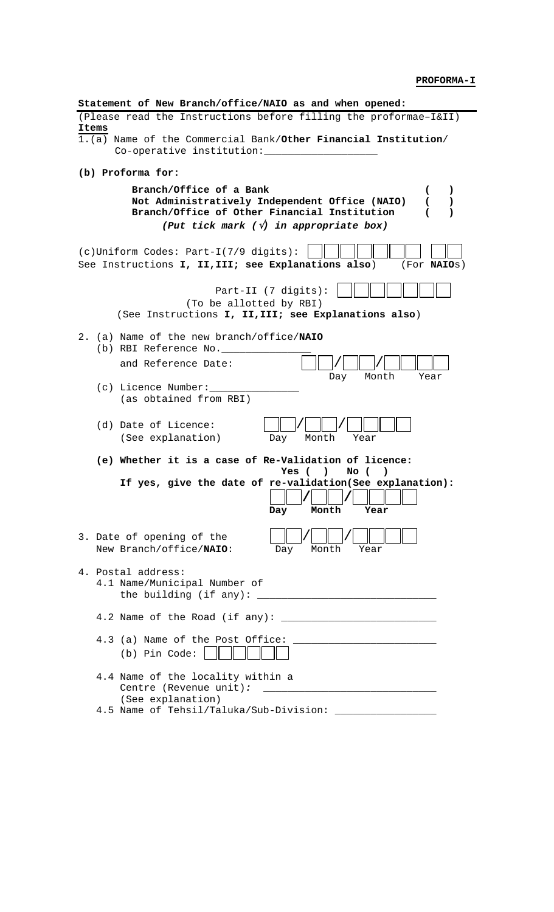**PROFORMA-I**

| Statement of New Branch/office/NAIO as and when opened:                                                                                                                                                                                                    |
|------------------------------------------------------------------------------------------------------------------------------------------------------------------------------------------------------------------------------------------------------------|
| (Please read the Instructions before filling the proformae-I&II)                                                                                                                                                                                           |
| Items<br>1.(a) Name of the Commercial Bank/Other Financial Institution/<br>Co-operative institution:                                                                                                                                                       |
| (b) Proforma for:                                                                                                                                                                                                                                          |
| Branch/Office of a Bank<br>$\mathcal{L}$<br>$\mathbf{C}$<br>Not Administratively Independent Office (NAIO)<br>$\sqrt{2}$<br>$\lambda$<br>Branch/Office of Other Financial Institution<br>(<br>$\lambda$<br>(Put tick mark $(\sqrt{v})$ in appropriate box) |
| (c) Uniform Codes: Part-I(7/9 digits):<br>See Instructions I, II, III; see Explanations also)<br>(For <b>NAIOS</b> )                                                                                                                                       |
| Part-II (7 digits):<br>(To be allotted by RBI)<br>(See Instructions I, II, III; see Explanations also)                                                                                                                                                     |
| 2. (a) Name of the new branch/office/NAIO                                                                                                                                                                                                                  |
| (b) RBI Reference No.                                                                                                                                                                                                                                      |
| and Reference Date:<br>Month<br>Day<br>Year                                                                                                                                                                                                                |
| (c) Licence Number:<br>(as obtained from RBI)                                                                                                                                                                                                              |
| (d) Date of Licence:<br>(See explanation)<br>Month<br>Day<br>Year                                                                                                                                                                                          |
| (e) Whether it is a case of Re-Validation of licence:                                                                                                                                                                                                      |
| Yes (<br>No (<br>$\lambda$<br>If yes, give the date of re-validation(See explanation):<br>Month<br>Day<br>Year                                                                                                                                             |
| 3. Date of opening of the<br>New Branch/office/NAIO:<br>Month<br>Day<br>Year                                                                                                                                                                               |
| 4. Postal address:<br>4.1 Name/Municipal Number of                                                                                                                                                                                                         |
|                                                                                                                                                                                                                                                            |
| 4.3 (a) Name of the Post Office:<br><u> 1989 - Johann John Stone, mars et al. (</u><br>(b) Pin Code:                                                                                                                                                       |
| 4.4 Name of the locality within a<br>(See explanation)<br>4.5 Name of Tehsil/Taluka/Sub-Division:                                                                                                                                                          |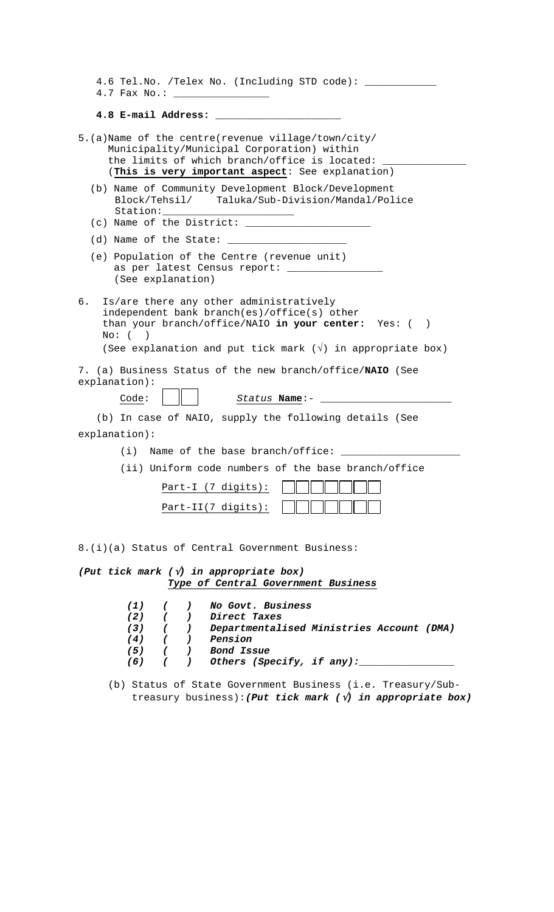| 4.6 Tel.No. /Telex No. (Including STD code): _____                                                                                                                                                                                      |
|-----------------------------------------------------------------------------------------------------------------------------------------------------------------------------------------------------------------------------------------|
|                                                                                                                                                                                                                                         |
| 4.8 E-mail Address:                                                                                                                                                                                                                     |
| 5.(a)Name of the centre(revenue village/town/city/<br>Municipality/Municipal Corporation) within<br>the limits of which branch/office is located:<br>(This is very important aspect: See explanation)                                   |
| (b) Name of Community Development Block/Development<br>Block/Tehsil/ Taluka/Sub-Division/Mandal/Police                                                                                                                                  |
|                                                                                                                                                                                                                                         |
| (e) Population of the Centre (revenue unit)<br>as per latest Census report: ________________<br>(See explanation)                                                                                                                       |
| б.<br>Is/are there any other administratively<br>independent bank branch(es)/office(s) other<br>than your branch/office/NAIO in your center: Yes: ()<br>$No:$ ( )<br>(See explanation and put tick mark $(\sqrt{})$ in appropriate box) |
| 7. (a) Business Status of the new branch/office/NAIO (See<br>explanation):<br>Code:<br>Status Name:-                                                                                                                                    |
| (b) In case of NAIO, supply the following details (See                                                                                                                                                                                  |
| explanation):                                                                                                                                                                                                                           |
| $(i)$ Name of the base branch/office:                                                                                                                                                                                                   |
| (ii) Uniform code numbers of the base branch/office                                                                                                                                                                                     |
| Part-I (7 digits):                                                                                                                                                                                                                      |
| $Part-II(7 digits):$                                                                                                                                                                                                                    |
|                                                                                                                                                                                                                                         |
| 8.(i)(a) Status of Central Government Business:                                                                                                                                                                                         |
| (Put tick mark $(\sqrt{v})$ in appropriate box)                                                                                                                                                                                         |
| Type of Central Government Business                                                                                                                                                                                                     |
| No Govt. Business<br>(1)<br>$\cdot$<br>$\epsilon$<br>$(2)$ (<br>) Direct Taxes<br>(3) ( ) Departmentalised Ministries Account (DMA)<br>$(4)$ ( ) Pension<br>$(5)$ ( ) Bond Issue<br>( ) Others (Specify, if any):__<br>(6)              |

 <sup>(</sup>b) Status of State Government Business (i.e. Treasury/Sub treasury business):*(Put tick mark (*√*) in appropriate box)*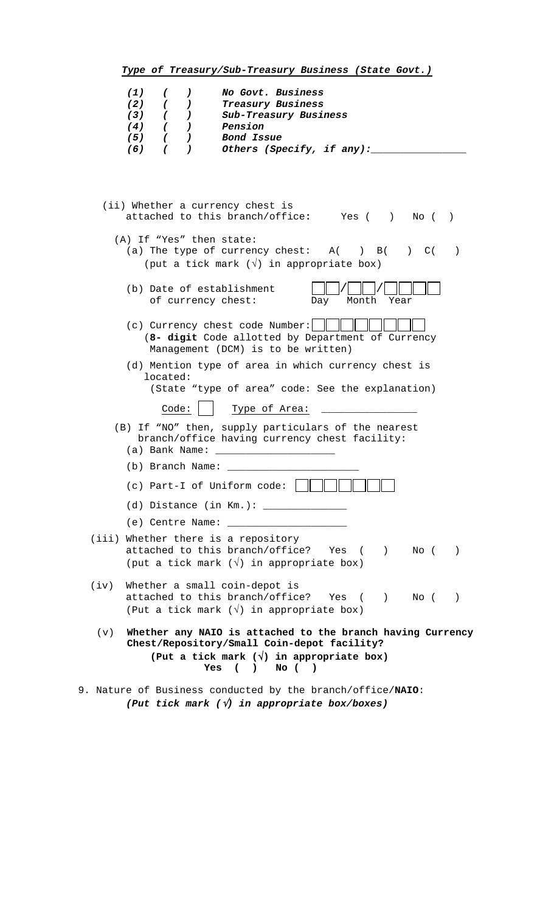|      | (1)<br>No Govt. Business<br>$\sqrt{2}$<br>$\left( \begin{array}{c} 1 \end{array} \right)$                                                                                                                                                                                                       |
|------|-------------------------------------------------------------------------------------------------------------------------------------------------------------------------------------------------------------------------------------------------------------------------------------------------|
|      | (2)<br>Treasury Business<br>$\overline{\phantom{a}}$<br>$\sqrt{2}$                                                                                                                                                                                                                              |
|      | ( )<br>(3)<br>Sub-Treasury Business                                                                                                                                                                                                                                                             |
|      | ( )<br>(4)<br>Pension                                                                                                                                                                                                                                                                           |
|      | (5)<br>( )<br>Bond Issue                                                                                                                                                                                                                                                                        |
|      | Others (Specify, if any):<br>(6)<br>$\sqrt{2}$<br>$\lambda$                                                                                                                                                                                                                                     |
|      | (ii) Whether a currency chest is<br>attached to this branch/office: Yes () No ()<br>(A) If "Yes" then state:<br>(a) The type of currency chest: $A( ) B( ) C( )$<br>(put a tick mark $(\sqrt{})$ in appropriate box)<br>(b) Date of establishment<br>of currency chest:<br>Day<br>Month<br>Year |
|      | (c) Currency chest code Number:<br>(8- digit Code allotted by Department of Currency<br>Management (DCM) is to be written)                                                                                                                                                                      |
|      | (d) Mention type of area in which currency chest is<br>located:<br>(State "type of area" code: See the explanation)                                                                                                                                                                             |
|      | Code:<br>Type of Area:                                                                                                                                                                                                                                                                          |
|      | (B) If "NO" then, supply particulars of the nearest<br>branch/office having currency chest facility:<br>(a) Bank Name:                                                                                                                                                                          |
|      | (b) Branch Name:                                                                                                                                                                                                                                                                                |
|      | (c) Part-I of Uniform code:                                                                                                                                                                                                                                                                     |
|      | $(d)$ Distance (in Km.): $\frac{1}{1}$                                                                                                                                                                                                                                                          |
|      |                                                                                                                                                                                                                                                                                                 |
|      | (iii) Whether there is a repository                                                                                                                                                                                                                                                             |
|      | attached to this branch/office? Yes ()<br>No (<br>$\rightarrow$                                                                                                                                                                                                                                 |
|      | (put a tick mark $(\sqrt{ } )$ in appropriate box)                                                                                                                                                                                                                                              |
|      |                                                                                                                                                                                                                                                                                                 |
| (iv) | Whether a small coin-depot is<br>attached to this branch/office? Yes ()<br>$\text{No}$ ( )                                                                                                                                                                                                      |
|      | (Put a tick mark $(\sqrt{})$ in appropriate box)                                                                                                                                                                                                                                                |
| (v)  | Whether any NAIO is attached to the branch having Currency<br>Chest/Repository/Small Coin-depot facility?<br>(Put a tick mark $(\sqrt{})$ in appropriate box)                                                                                                                                   |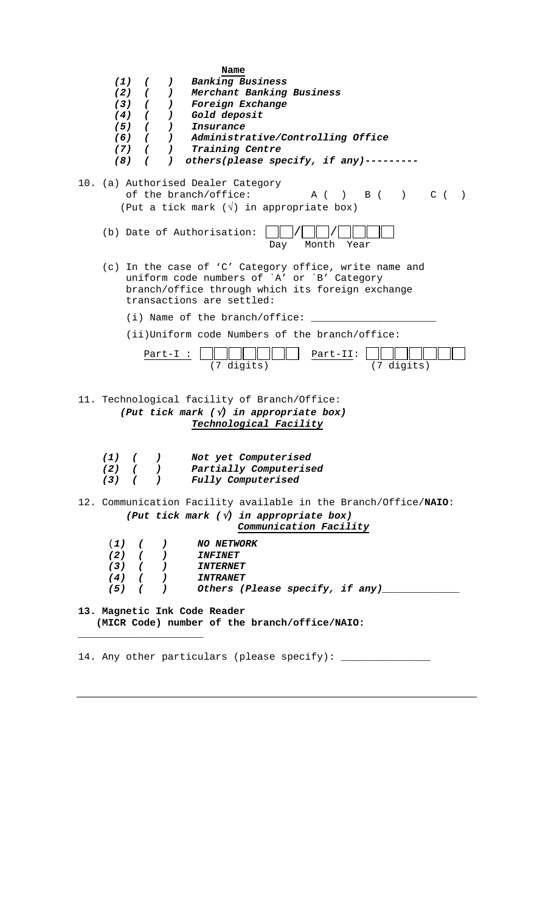| (1)<br>$(8)$ (           | (<br>$\left( \begin{array}{c} 1 \end{array} \right)$<br>$(2)$ ( )<br>$(3)$ ( )<br>$(4)$ ( )<br>$(5)$ ( )<br>$(7)$ ( ) | Name<br><b>Banking Business</b><br>Merchant Banking Business<br>Foreign Exchange<br>Gold deposit<br>Insurance<br>(6) ( ) Administrative/Controlling Office<br>Training Centre<br>) others(please specify, if any)--------- |
|--------------------------|-----------------------------------------------------------------------------------------------------------------------|----------------------------------------------------------------------------------------------------------------------------------------------------------------------------------------------------------------------------|
|                          |                                                                                                                       | 10. (a) Authorised Dealer Category<br>$A$ ( ) $B$ ( ) $C$ (<br>of the branch/office:<br>$\rightarrow$<br>(Put a tick mark $(\sqrt{})$ in appropriate box)                                                                  |
|                          |                                                                                                                       | (b) Date of Authorisation:<br>Month<br>Year<br>Day                                                                                                                                                                         |
|                          |                                                                                                                       | (c) In the case of 'C' Category office, write name and<br>uniform code numbers of `A' or `B' Category<br>branch/office through which its foreign exchange<br>transactions are settled:                                     |
|                          |                                                                                                                       | (i) Name of the branch/office:                                                                                                                                                                                             |
|                          |                                                                                                                       | (ii)Uniform code Numbers of the branch/office:                                                                                                                                                                             |
|                          | $Part-I:$                                                                                                             | Part-II:<br>(7 digits)<br>(7 digits)                                                                                                                                                                                       |
|                          |                                                                                                                       | 11. Technological facility of Branch/Office:<br>(Put tick mark $(\sqrt{v})$ in appropriate box)<br>Technological Facility                                                                                                  |
| (1)<br>$\epsilon$<br>(2) | $\left( \right)$                                                                                                      | Not yet Computerised<br>Partially Computerised<br>(3) ( ) Fully Computerised                                                                                                                                               |
|                          |                                                                                                                       | 12. Communication Facility available in the Branch/Office/NAIO:<br>(Put tick mark $(\sqrt{v})$ in appropriate box)<br>Communication Facility                                                                               |
|                          |                                                                                                                       | <b>NO NETWORK</b>                                                                                                                                                                                                          |
|                          |                                                                                                                       |                                                                                                                                                                                                                            |
|                          |                                                                                                                       | $(4)$ ( ) INTRANET                                                                                                                                                                                                         |
|                          |                                                                                                                       |                                                                                                                                                                                                                            |
|                          |                                                                                                                       | 13. Magnetic Ink Code Reader<br>(MICR Code) number of the branch/office/NAIO:                                                                                                                                              |
|                          |                                                                                                                       | 14. Any other particulars (please specify): _______________                                                                                                                                                                |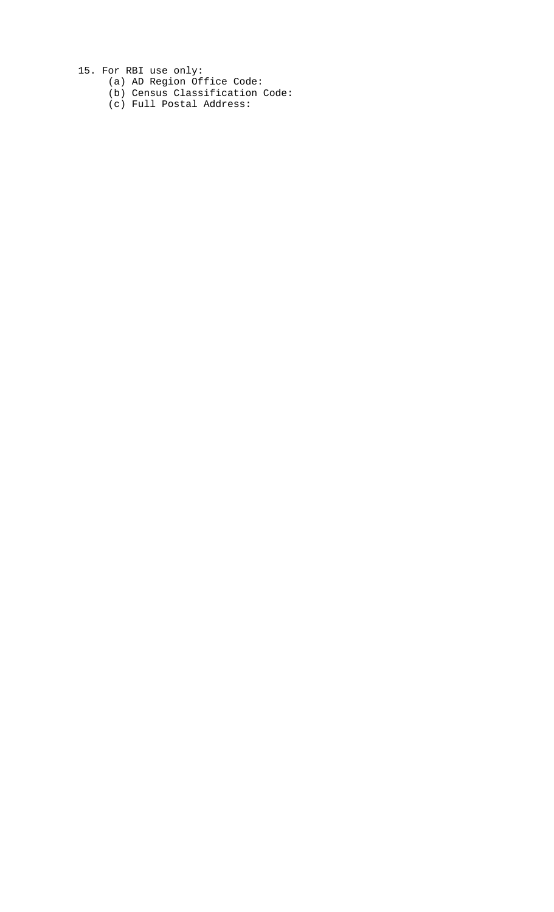15. For RBI use only:

- (a) AD Region Office Code:
- (b) Census Classification Code:
- (c) Full Postal Address: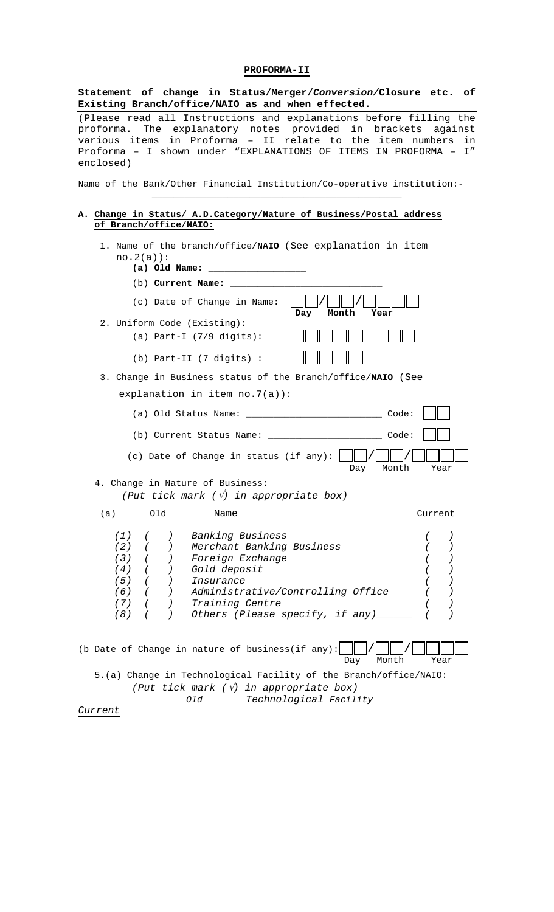# **PROFORMA-II**

| Statement of change in Status/Merger/Conversion/Closure etc. of<br>Existing Branch/office/NAIO as and when effected.                                                                                                                                                                  |
|---------------------------------------------------------------------------------------------------------------------------------------------------------------------------------------------------------------------------------------------------------------------------------------|
| (Please read all Instructions and explanations before filling the<br>proforma. The explanatory notes provided in brackets against<br>various items in Proforma - II relate to the item numbers<br>in<br>Proforma - I shown under "EXPLANATIONS OF ITEMS IN PROFORMA - I"<br>enclosed) |
| Name of the Bank/Other Financial Institution/Co-operative institution:-                                                                                                                                                                                                               |
| A. Change in Status/ A.D. Category/Nature of Business/Postal address<br>of Branch/office/NAIO:                                                                                                                                                                                        |
| 1. Name of the branch/office/NAIO (See explanation in item<br>$no.2(a)$ :<br>(a) Old Name:                                                                                                                                                                                            |
| (b) Current Name:                                                                                                                                                                                                                                                                     |
| (c) Date of Change in Name:<br>Month<br>Day<br>Year                                                                                                                                                                                                                                   |
| 2. Uniform Code (Existing):                                                                                                                                                                                                                                                           |
| (a) Part-I $(7/9$ digits):                                                                                                                                                                                                                                                            |
| (b) Part-II (7 digits) :                                                                                                                                                                                                                                                              |
| 3. Change in Business status of the Branch/office/NAIO (See                                                                                                                                                                                                                           |
| explanation in item $no.7(a)$ :                                                                                                                                                                                                                                                       |
|                                                                                                                                                                                                                                                                                       |
| (b) Current Status Name: (b) Code:                                                                                                                                                                                                                                                    |
| (c) Date of Change in status (if any): $ $<br>Month<br>Day<br>Year                                                                                                                                                                                                                    |
| 4. Change in Nature of Business:<br>(Put tick mark $(\sqrt{v})$ in appropriate box)                                                                                                                                                                                                   |
| (a)<br>Old<br>Name<br>Current                                                                                                                                                                                                                                                         |
| Banking Business<br>(1)<br>(2)<br>Merchant Banking Business<br>(3)<br>Foreign Exchange<br>Gold deposit<br>(4)<br>(5)<br>Insurance<br>Administrative/Controlling Office<br>(6)<br>Training Centre<br>(7)<br>Others (Please specify, if any)__<br>(8)                                   |
| (b Date of Change in nature of business(if any):<br>Month<br>Year<br>Day                                                                                                                                                                                                              |
| 5.(a) Change in Technological Facility of the Branch/office/NAIO:                                                                                                                                                                                                                     |
| (Put tick mark $(\sqrt{v})$ in appropriate box)<br>Technological Facility<br>Old                                                                                                                                                                                                      |
|                                                                                                                                                                                                                                                                                       |

*Current*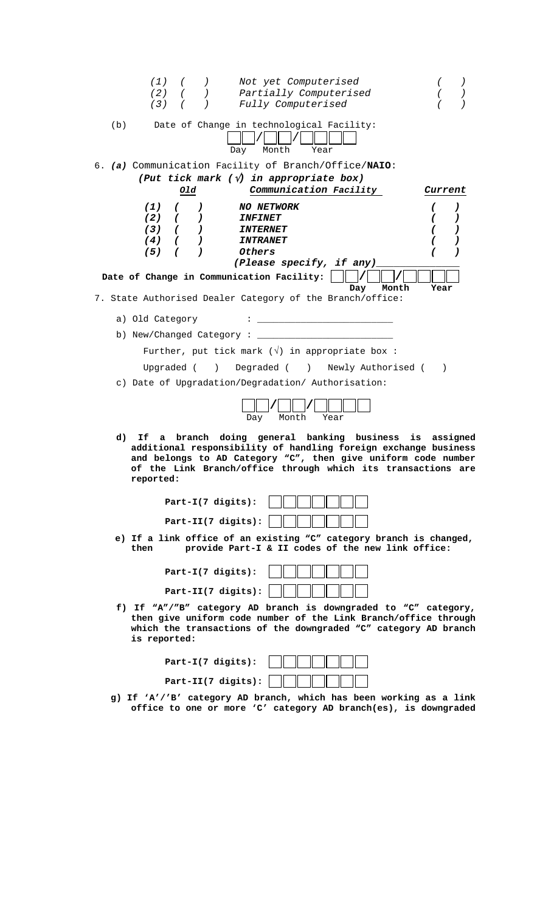| (1)<br>Not yet Computerised<br>$\left( \begin{array}{c} 1 \end{array} \right)$<br>$\sqrt{2}$                                                                                                                                                                            |                | $\left( \begin{array}{c} 1 \end{array} \right)$ |
|-------------------------------------------------------------------------------------------------------------------------------------------------------------------------------------------------------------------------------------------------------------------------|----------------|-------------------------------------------------|
| Partially Computerised<br>(2)<br>$\left($                                                                                                                                                                                                                               |                |                                                 |
| (3)<br>Fully Computerised                                                                                                                                                                                                                                               |                |                                                 |
| Date of Change in technological Facility:<br>(b)<br>Month<br>Day<br>Year                                                                                                                                                                                                |                |                                                 |
| 6. (a) Communication Facility of Branch/Office/NAIO:                                                                                                                                                                                                                    |                |                                                 |
| (Put tick mark $(\sqrt{v})$ in appropriate box)                                                                                                                                                                                                                         |                |                                                 |
| Communication Facility<br>old                                                                                                                                                                                                                                           | <i>Current</i> |                                                 |
|                                                                                                                                                                                                                                                                         |                |                                                 |
| (1)<br><b>NO NETWORK</b><br>$\epsilon$<br>$\mathcal{L}$                                                                                                                                                                                                                 |                | $\lambda$                                       |
| (2)<br><i><b>INFINET</b></i><br>$\sqrt{2}$<br>$\mathcal{L}^{\mathcal{L}}$                                                                                                                                                                                               |                | )                                               |
| (3)<br>( )<br><i><b>INTERNET</b></i>                                                                                                                                                                                                                                    | C              | )                                               |
| (4)<br>$\sqrt{2}$<br>$\lambda$<br><i><b>INTRANET</b></i>                                                                                                                                                                                                                |                | ,                                               |
| (5)<br>Others<br>$\sqrt{ }$<br>$\lambda$<br>(Please specify, if any)                                                                                                                                                                                                    |                | )                                               |
|                                                                                                                                                                                                                                                                         |                |                                                 |
| Date of Change in Communication Facility:<br>Day<br>Month                                                                                                                                                                                                               | Year           |                                                 |
| 7. State Authorised Dealer Category of the Branch/office:                                                                                                                                                                                                               |                |                                                 |
|                                                                                                                                                                                                                                                                         |                |                                                 |
| a) Old Category                                                                                                                                                                                                                                                         |                |                                                 |
| b) New/Changed Category:                                                                                                                                                                                                                                                |                |                                                 |
| Further, put tick mark $(\sqrt{})$ in appropriate box :                                                                                                                                                                                                                 |                |                                                 |
| ) Degraded ( ) Newly Authorised (<br>Upgraded (                                                                                                                                                                                                                         | $\lambda$      |                                                 |
|                                                                                                                                                                                                                                                                         |                |                                                 |
| c) Date of Upgradation/Degradation/ Authorisation:                                                                                                                                                                                                                      |                |                                                 |
| Month<br>Year<br>Day                                                                                                                                                                                                                                                    |                |                                                 |
| branch doing general banking business<br>d)<br>Ιf<br>a<br>additional responsibility of handling foreign exchange business<br>and belongs to AD Category "C", then give uniform code number<br>of the Link Branch/office through which its transactions are<br>reported: | is assigned    |                                                 |
| $Part-I(7 digits):$<br>Part-II(7 digits):                                                                                                                                                                                                                               |                |                                                 |
|                                                                                                                                                                                                                                                                         |                |                                                 |
| e) If a link office of an existing "C" category branch is changed,<br>provide Part-I & II codes of the new link office:<br>then                                                                                                                                         |                |                                                 |
| $Part-I(7 digits):$                                                                                                                                                                                                                                                     |                |                                                 |
| Part-II(7 digits):                                                                                                                                                                                                                                                      |                |                                                 |
| f) If "A"/"B" category AD branch is downgraded to "C" category,<br>then give uniform code number of the Link Branch/office through<br>which the transactions of the downgraded "C" category AD branch<br>is reported:                                                   |                |                                                 |
| Part-I(7 digits):                                                                                                                                                                                                                                                       |                |                                                 |

- **Part-II(7 digits):**   $\perp$
- **g) If 'A'/'B' category AD branch, which has been working as a link office to one or more 'C' category AD branch(es), is downgraded**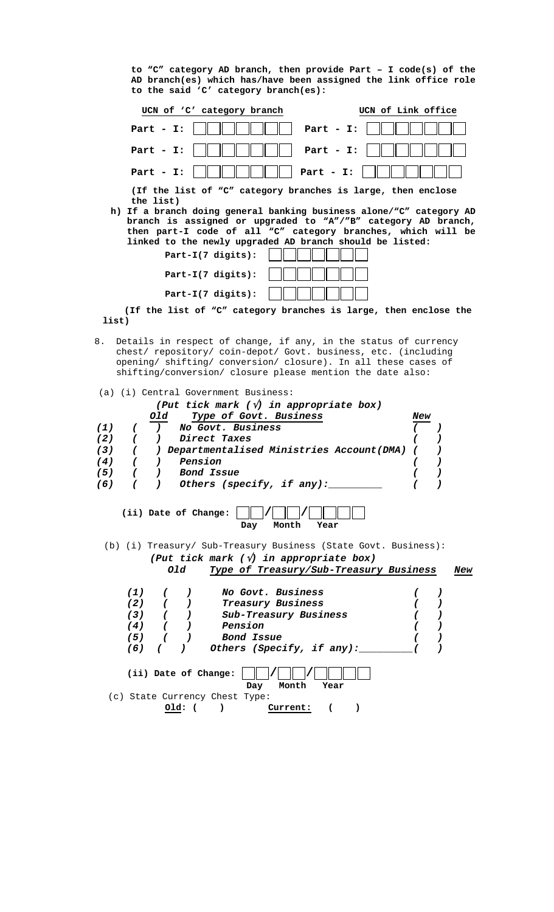**to "C" category AD branch, then provide Part – I code(s) of the AD branch(es) which has/have been assigned the link office role to the said 'C' category branch(es):**



 **(If the list of "C" category branches is large, then enclose the list)**

 8. Details in respect of change, if any, in the status of currency chest/ repository/ coin-depot/ Govt. business, etc. (including opening/ shifting/ conversion/ closure). In all these cases of shifting/conversion/ closure please mention the date also:

 **Part-I(7 digits):** 

|     |                      |            |               | (a) (i) Central Government Business:                                                                                                                         |     |   |     |
|-----|----------------------|------------|---------------|--------------------------------------------------------------------------------------------------------------------------------------------------------------|-----|---|-----|
|     |                      |            |               | (Put tick mark $(\sqrt{v})$ in appropriate box)                                                                                                              |     |   |     |
|     |                      | old        |               | <i>Type of Govt. Business</i>                                                                                                                                | New |   |     |
| (1) |                      |            |               | ) No Govt. Business                                                                                                                                          |     |   |     |
| (2) |                      |            |               | ( ) Direct Taxes                                                                                                                                             |     |   |     |
| (3) |                      |            |               | ( ) Departmentalised Ministries Account(DMA) (                                                                                                               |     |   |     |
| (4) |                      |            | $( )$ Pension |                                                                                                                                                              |     |   |     |
| (5) |                      |            |               | ( ) Bond Issue                                                                                                                                               |     |   |     |
| (6) |                      |            |               | ) Others (specify, if any):                                                                                                                                  |     |   |     |
|     | (ii) Date of Change: |            |               | Month<br>Day<br>Year                                                                                                                                         |     |   |     |
|     |                      |            | old           | (b) (i) Treasury/ Sub-Treasury Business (State Govt. Business):<br>(Put tick mark $(\sqrt{v})$ in appropriate box)<br>Type of Treasury/Sub-Treasury Business |     |   | New |
|     |                      | $\sqrt{2}$ |               |                                                                                                                                                              |     |   |     |
|     | (1)                  |            |               | ) No Govt. Business                                                                                                                                          |     | ) |     |
|     |                      |            |               | (2) ( ) Treasury Business                                                                                                                                    |     |   |     |
|     |                      |            | $(4)$ ( )     | (3) ( ) Sub-Treasury Business<br>Pension                                                                                                                     |     |   |     |
|     |                      |            | $(5)$ ( )     | Bond Issue                                                                                                                                                   |     |   |     |
|     | (6)                  | $\epsilon$ |               | ) Others (Specify, if any):                                                                                                                                  |     |   |     |
|     |                      |            | $old:$ (      | (ii) Date of Change:<br>Month<br>Day<br>Year<br>(c) State Currency Chest Type:<br>Current:<br>$\lambda$<br>$\mathbf \Gamma$                                  |     |   |     |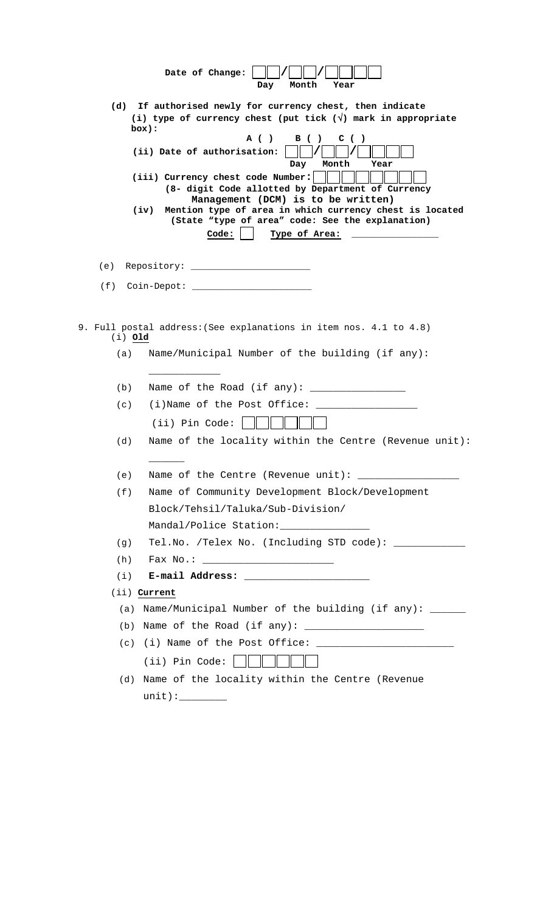|           | Date of Change:<br>Month<br>Year<br>Day                                                                                                                                                                                                                                                                       |
|-----------|---------------------------------------------------------------------------------------------------------------------------------------------------------------------------------------------------------------------------------------------------------------------------------------------------------------|
| (d)       | If authorised newly for currency chest, then indicate<br>(i) type of currency chest (put tick $(\sqrt{ } )$ mark in appropriate<br>box):                                                                                                                                                                      |
|           | A ( )<br>B ( )<br>C $($ $)$<br>(ii) Date of authorisation:<br>Month<br>Day<br>Year                                                                                                                                                                                                                            |
|           | (iii) Currency chest code Number:                                                                                                                                                                                                                                                                             |
|           | (8- digit Code allotted by Department of Currency<br>Management (DCM) is to be written)                                                                                                                                                                                                                       |
|           | Mention type of area in which currency chest is located<br>(iv)<br>(State "type of area" code: See the explanation)                                                                                                                                                                                           |
|           | Code:<br>Type of Area:                                                                                                                                                                                                                                                                                        |
|           |                                                                                                                                                                                                                                                                                                               |
|           |                                                                                                                                                                                                                                                                                                               |
|           | $(f)$ Coin-Depot: $\_$                                                                                                                                                                                                                                                                                        |
|           |                                                                                                                                                                                                                                                                                                               |
| $(i)$ Old | 9. Full postal address: (See explanations in item nos. 4.1 to 4.8)                                                                                                                                                                                                                                            |
| (a)       | Name/Municipal Number of the building (if any):                                                                                                                                                                                                                                                               |
|           |                                                                                                                                                                                                                                                                                                               |
| (b)       | Name of the Road (if any): $\frac{1}{2}$ $\frac{1}{2}$ $\frac{1}{2}$ $\frac{1}{2}$ $\frac{1}{2}$ $\frac{1}{2}$ $\frac{1}{2}$ $\frac{1}{2}$ $\frac{1}{2}$ $\frac{1}{2}$ $\frac{1}{2}$ $\frac{1}{2}$ $\frac{1}{2}$ $\frac{1}{2}$ $\frac{1}{2}$ $\frac{1}{2}$ $\frac{1}{2}$ $\frac{1}{2}$ $\frac{1}{2}$ $\frac{$ |
| (c)       | $(i)$ Name of the Post Office:                                                                                                                                                                                                                                                                                |
|           | (ii) Pin Code:                                                                                                                                                                                                                                                                                                |
| (d)       | Name of the locality within the Centre (Revenue unit):                                                                                                                                                                                                                                                        |
|           |                                                                                                                                                                                                                                                                                                               |
| (e)       | Name of the Centre (Revenue unit):                                                                                                                                                                                                                                                                            |
| (f)       | Name of Community Development Block/Development                                                                                                                                                                                                                                                               |
|           | Block/Tehsil/Taluka/Sub-Division/                                                                                                                                                                                                                                                                             |
|           | Mandal/Police Station: _______________                                                                                                                                                                                                                                                                        |
| (q)       | Tel.No. /Telex No. (Including STD code): ____________                                                                                                                                                                                                                                                         |
| (h)       |                                                                                                                                                                                                                                                                                                               |
| (i)       |                                                                                                                                                                                                                                                                                                               |
|           | (ii) Current                                                                                                                                                                                                                                                                                                  |
| (a)       | Name/Municipal Number of the building (if any): ______                                                                                                                                                                                                                                                        |
| (b)       |                                                                                                                                                                                                                                                                                                               |
| (c)       | (i) Name of the Post Office: $\frac{1}{2}$ (i) Name of the Post Office:                                                                                                                                                                                                                                       |
|           | $(iii)$ Pin Code:                                                                                                                                                                                                                                                                                             |
| (d)       | Name of the locality within the Centre (Revenue                                                                                                                                                                                                                                                               |
|           |                                                                                                                                                                                                                                                                                                               |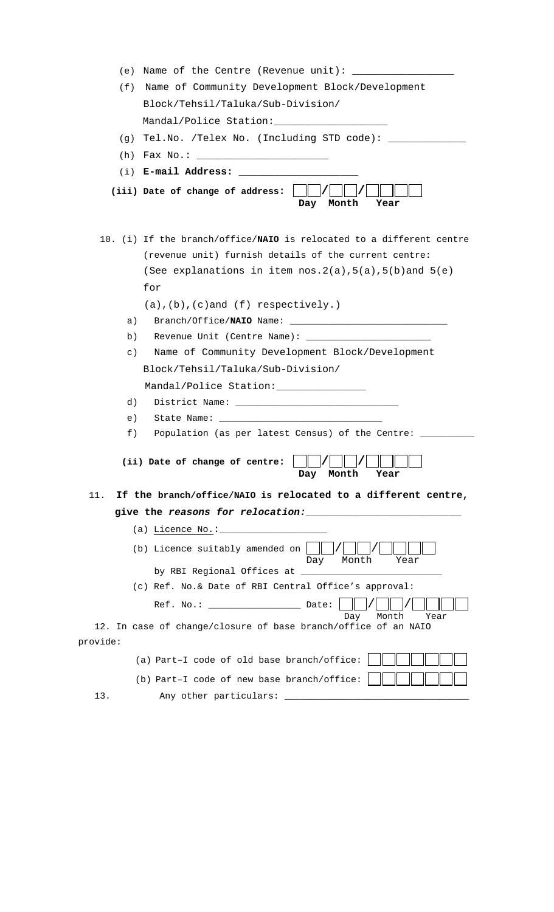| (e)      | Name of the Centre (Revenue unit):                                                                              |
|----------|-----------------------------------------------------------------------------------------------------------------|
| (f)      | Name of Community Development Block/Development                                                                 |
|          | Block/Tehsil/Taluka/Sub-Division/                                                                               |
|          | Mandal/Police Station: _____________________                                                                    |
| (q)      | Tel.No. /Telex No. (Including STD code): ________                                                               |
| (h)      |                                                                                                                 |
|          | $(i)$ E-mail Address:                                                                                           |
|          | (iii) Date of change of address:<br>Day<br>Month<br>Year                                                        |
|          | 10. (i) If the branch/office/NAIO is relocated to a different centre                                            |
|          | (revenue unit) furnish details of the current centre:                                                           |
|          | (See explanations in item $nos.2(a), 5(a), 5(b)$ and $5(e)$                                                     |
|          | for                                                                                                             |
|          | $(a)$ , $(b)$ , $(c)$ and $(f)$ respectively.)                                                                  |
| a)       |                                                                                                                 |
| b)       |                                                                                                                 |
| $\in)$   | Name of Community Development Block/Development                                                                 |
|          | Block/Tehsil/Taluka/Sub-Division/                                                                               |
|          | Mandal/Police Station: ________________                                                                         |
| d)       |                                                                                                                 |
| e)       |                                                                                                                 |
| f)       | Population (as per latest Census) of the Centre: _                                                              |
|          | (ii) Date of change of centre:<br>Year<br>Month<br>Day                                                          |
| 11.      | If the branch/office/NAIO is relocated to a different centre,                                                   |
|          | give the reasons for relocation: The contract of the contract of the contract of the contract of the contract o |
|          |                                                                                                                 |
|          | (b) Licence suitably amended on $\vert$<br>Month<br>Day<br>Year                                                 |
|          |                                                                                                                 |
|          | (c) Ref. No.& Date of RBI Central Office's approval:                                                            |
|          | Month<br>Day<br>Year                                                                                            |
|          | 12. In case of change/closure of base branch/office of an NAIO                                                  |
| provide: |                                                                                                                 |
|          | (a) Part-I code of old base branch/office:                                                                      |
|          | (b) Part-I code of new base branch/office:                                                                      |
| 13.      | Any other particulars: ____________                                                                             |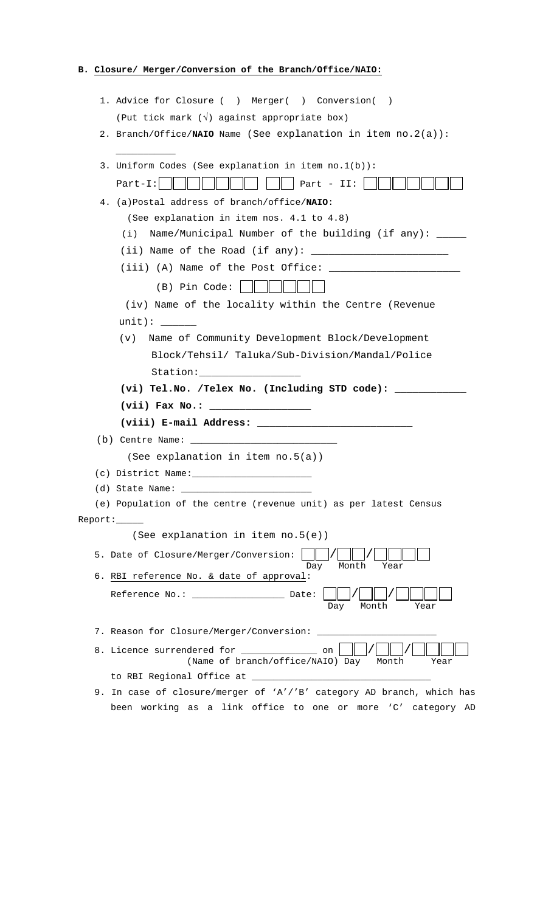# **B. Closure/ Merger/***C***onversion of the Branch/Office/NAIO:**

| 1. Advice for Closure () Merger() Conversion(                                                                                                                                                                                                                                                             |
|-----------------------------------------------------------------------------------------------------------------------------------------------------------------------------------------------------------------------------------------------------------------------------------------------------------|
| (Put tick mark $(\sqrt{})$ against appropriate box)                                                                                                                                                                                                                                                       |
| 2. Branch/Office/NAIO Name (See explanation in item $no.2(a)$ ):                                                                                                                                                                                                                                          |
| 3. Uniform Codes (See explanation in item no.1(b)):                                                                                                                                                                                                                                                       |
| Part-I:<br>Part - $II$ :                                                                                                                                                                                                                                                                                  |
| 4. (a)Postal address of branch/office/NAIO:                                                                                                                                                                                                                                                               |
| (See explanation in item nos. 4.1 to 4.8)                                                                                                                                                                                                                                                                 |
| Name/Municipal Number of the building (if any): ____<br>(i)                                                                                                                                                                                                                                               |
| (ii) Name of the Road (if any): $\frac{1}{2}$ $\frac{1}{2}$ $\frac{1}{2}$ $\frac{1}{2}$ $\frac{1}{2}$ $\frac{1}{2}$ $\frac{1}{2}$ $\frac{1}{2}$ $\frac{1}{2}$ $\frac{1}{2}$ $\frac{1}{2}$ $\frac{1}{2}$ $\frac{1}{2}$ $\frac{1}{2}$ $\frac{1}{2}$ $\frac{1}{2}$ $\frac{1}{2}$ $\frac{1}{2}$ $\frac{1}{2}$ |
|                                                                                                                                                                                                                                                                                                           |
| (B) Pin Code:                                                                                                                                                                                                                                                                                             |
| (iv) Name of the locality within the Centre (Revenue                                                                                                                                                                                                                                                      |
|                                                                                                                                                                                                                                                                                                           |
| Name of Community Development Block/Development<br>(v)                                                                                                                                                                                                                                                    |
| Block/Tehsil/ Taluka/Sub-Division/Mandal/Police                                                                                                                                                                                                                                                           |
|                                                                                                                                                                                                                                                                                                           |
| (vi) Tel.No. /Telex No. (Including STD code): _______                                                                                                                                                                                                                                                     |
|                                                                                                                                                                                                                                                                                                           |
|                                                                                                                                                                                                                                                                                                           |
|                                                                                                                                                                                                                                                                                                           |
| (See explanation in item no.5(a))                                                                                                                                                                                                                                                                         |
| $(c)$ District Name: $\frac{c}{c}$                                                                                                                                                                                                                                                                        |
| (d) State Name: the control of the control of the control of the control of the control of the control of the control of the control of the control of the control of the control of the control of the control of the control                                                                            |
| (e) Population of the centre (revenue unit) as per latest Census                                                                                                                                                                                                                                          |
| Report:                                                                                                                                                                                                                                                                                                   |
| (See explanation in item no.5(e))                                                                                                                                                                                                                                                                         |
| 5. Date of Closure/Merger/Conversion:<br>Month<br>Day<br>Year                                                                                                                                                                                                                                             |
| 6. RBI reference No. & date of approval:                                                                                                                                                                                                                                                                  |
| Reference No.: _________________ Date:<br>Month<br>Year<br>Day                                                                                                                                                                                                                                            |
| 7. Reason for Closure/Merger/Conversion: __________                                                                                                                                                                                                                                                       |
| 8. Licence surrendered for ______________<br>on<br>(Name of branch/office/NAIO) Day<br>Month<br>Year                                                                                                                                                                                                      |
|                                                                                                                                                                                                                                                                                                           |
|                                                                                                                                                                                                                                                                                                           |

been working as a link office to one or more 'C' category AD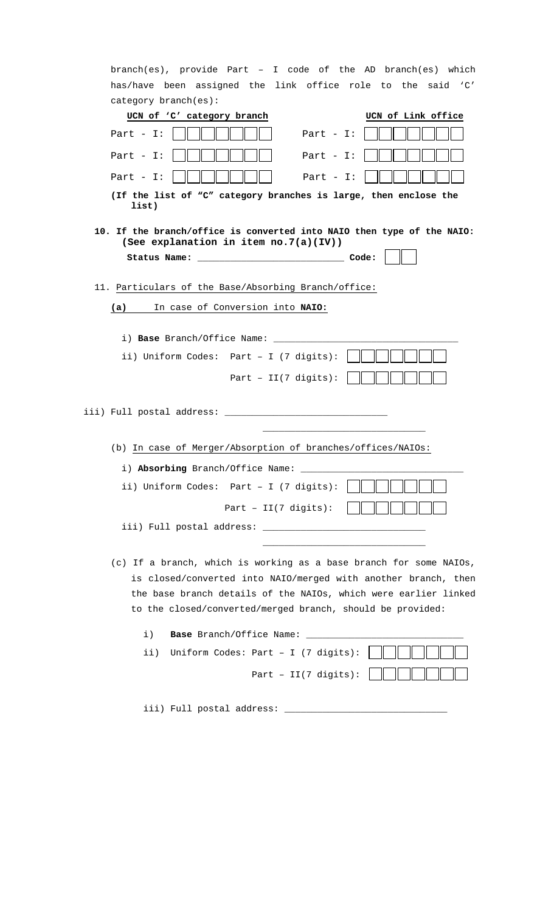|     | branch(es), provide Part - I code of the AD branch(es) which              |                                                |                                 |                    |  |
|-----|---------------------------------------------------------------------------|------------------------------------------------|---------------------------------|--------------------|--|
|     | has/have been assigned the link office role to the said 'C'               |                                                |                                 |                    |  |
|     | category branch(es):                                                      |                                                |                                 |                    |  |
|     | UCN of 'C' category branch                                                |                                                |                                 | UCN of Link office |  |
|     | Part - $I$ :                                                              |                                                | Part $-$ I:                     |                    |  |
|     | Part - $I:$                                                               |                                                | Part - $I$ :                    |                    |  |
|     | Part - $I:$                                                               |                                                | Part - $I$ :                    |                    |  |
|     | (If the list of "C" category branches is large, then enclose the<br>list) |                                                |                                 |                    |  |
|     | 10. If the branch/office is converted into NAIO then type of the NAIO:    |                                                |                                 |                    |  |
|     | (See explanation in item no. 7(a)(IV))                                    |                                                |                                 |                    |  |
|     |                                                                           |                                                |                                 |                    |  |
|     | 11. Particulars of the Base/Absorbing Branch/office:                      |                                                |                                 |                    |  |
| (a) |                                                                           | In case of Conversion into NAIO:               |                                 |                    |  |
|     |                                                                           |                                                |                                 |                    |  |
|     |                                                                           |                                                |                                 |                    |  |
|     | ii) Uniform Codes: Part - I (7 digits):                                   |                                                |                                 |                    |  |
|     |                                                                           |                                                |                                 |                    |  |
|     |                                                                           | Part - $II(7 \text{ digits})$ :                |                                 |                    |  |
|     |                                                                           |                                                |                                 |                    |  |
|     |                                                                           |                                                |                                 |                    |  |
|     |                                                                           |                                                |                                 |                    |  |
|     | (b) In case of Merger/Absorption of branches/offices/NAIOs:               |                                                |                                 |                    |  |
|     | i) Absorbing Branch/Office Name:                                          |                                                |                                 |                    |  |
|     | ii) Uniform Codes: Part - I (7 digits):                                   |                                                |                                 |                    |  |
|     |                                                                           | Part - $II(7 \text{ digits})$ :                |                                 |                    |  |
|     |                                                                           |                                                |                                 |                    |  |
|     |                                                                           |                                                |                                 |                    |  |
|     | (c) If a branch, which is working as a base branch for some NAIOs,        |                                                |                                 |                    |  |
|     | is closed/converted into NAIO/merged with another branch, then            |                                                |                                 |                    |  |
|     | the base branch details of the NAIOs, which were earlier linked           |                                                |                                 |                    |  |
|     | to the closed/converted/merged branch, should be provided:                |                                                |                                 |                    |  |
|     | i)                                                                        | <b>Base</b> Branch/Office Name:                |                                 |                    |  |
|     | ii)                                                                       | Uniform Codes: Part - I $(7 \text{ digits})$ : |                                 |                    |  |
|     |                                                                           |                                                | Part - $II(7 \text{ digits})$ : |                    |  |
|     |                                                                           |                                                |                                 |                    |  |
|     | iii) Full postal address:                                                 |                                                |                                 |                    |  |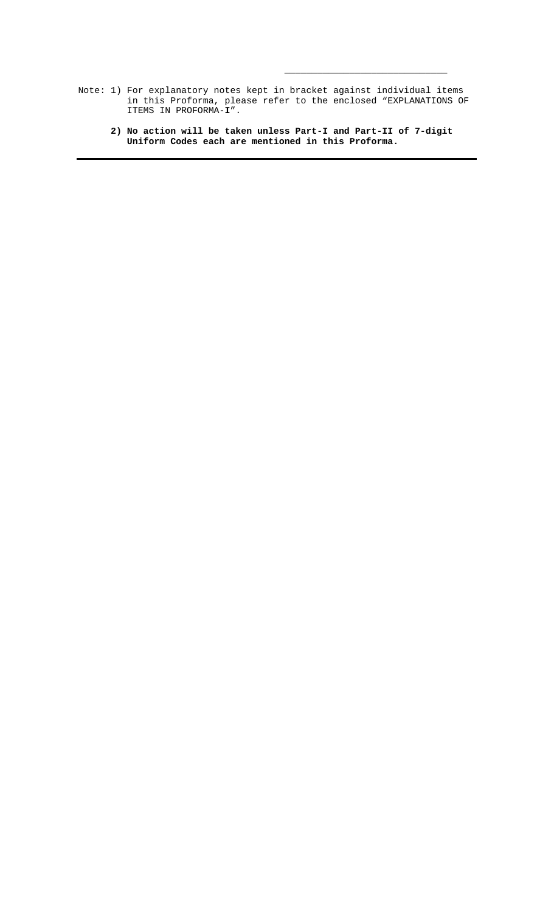Note: 1) For explanatory notes kept in bracket against individual items in this Proforma, please refer to the enclosed "EXPLANATIONS OF ITEMS IN PROFORMA-**I**".

 $\overline{\phantom{a}}$  , and the state of the state of the state of the state of the state of the state of the state of the state of the state of the state of the state of the state of the state of the state of the state of the stat

 **2) No action will be taken unless Part-I and Part-II of 7-digit Uniform Codes each are mentioned in this Proforma.**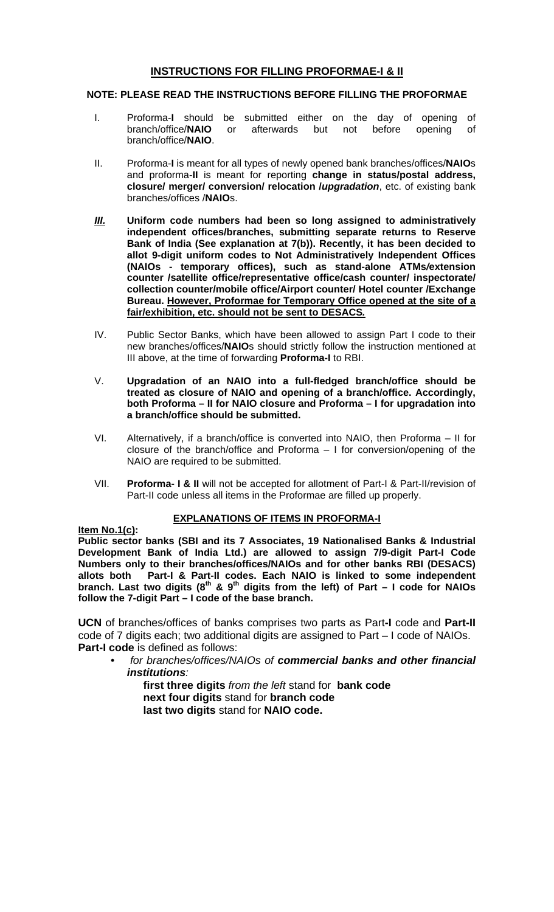# **INSTRUCTIONS FOR FILLING PROFORMAE-I & II**

### **NOTE: PLEASE READ THE INSTRUCTIONS BEFORE FILLING THE PROFORMAE**

- I. Proforma-**I** should be submitted either on the day of opening of afterwards but not before opening of branch/office/**NAIO**.
- II. Proforma-**I** is meant for all types of newly opened bank branches/offices/**NAIO**s and proforma-**II** is meant for reporting **change in status/postal address, closure/ merger/ conversion/ relocation /***upgradation*, etc. of existing bank branches/offices /**NAIO**s.
- *III.* **Uniform code numbers had been so long assigned to administratively independent offices/branches, submitting separate returns to Reserve Bank of India (See explanation at 7(b)). Recently, it has been decided to allot 9-digit uniform codes to Not Administratively Independent Offices (NAIOs - temporary offices), such as stand-alone ATMs***/***extension counter /satellite office/representative office/cash counter/ inspectorate/ collection counter/mobile office/Airport counter/ Hotel counter /Exchange Bureau. However, Proformae for Temporary Office opened at the site of a fair/exhibition, etc. should not be sent to DESACS***.*
- IV. Public Sector Banks, which have been allowed to assign Part I code to their new branches/offices/**NAIO**s should strictly follow the instruction mentioned at III above, at the time of forwarding **Proforma-I** to RBI.
- V. **Upgradation of an NAIO into a full-fledged branch/office should be treated as closure of NAIO and opening of a branch/office. Accordingly, both Proforma – II for NAIO closure and Proforma – I for upgradation into a branch/office should be submitted.**
- VI. Alternatively, if a branch/office is converted into NAIO, then Proforma II for closure of the branch/office and Proforma – I for conversion/opening of the NAIO are required to be submitted.
- VII. **Proforma- I & II** will not be accepted for allotment of Part-I & Part-II/revision of Part-II code unless all items in the Proformae are filled up properly.

# **EXPLANATIONS OF ITEMS IN PROFORMA-I**

**Item No.1(c):**

**Public sector banks (SBI and its 7 Associates, 19 Nationalised Banks & Industrial Development Bank of India Ltd.) are allowed to assign 7/9-digit Part-I Code Numbers only to their branches/offices/NAIOs and for other banks RBI (DESACS)** Part-I & Part-II codes. Each NAIO is linked to some independent branch. Last two digits  $(8^{th} \& 9^{th}$  digits from the left) of Part – I code for NAIOs **follow the 7-digit Part – I code of the base branch.**

**UCN** of branches/offices of banks comprises two parts as Part**-I** code and **Part-II** code of 7 digits each; two additional digits are assigned to Part – I code of NAIOs. **Part-I code** is defined as follows:

• *for branches/offices/NAIOs of commercial banks and other financial institutions:*

**first three digits** *from the left* stand for **bank code next four digits** stand for **branch code last two digits** stand for **NAIO code.**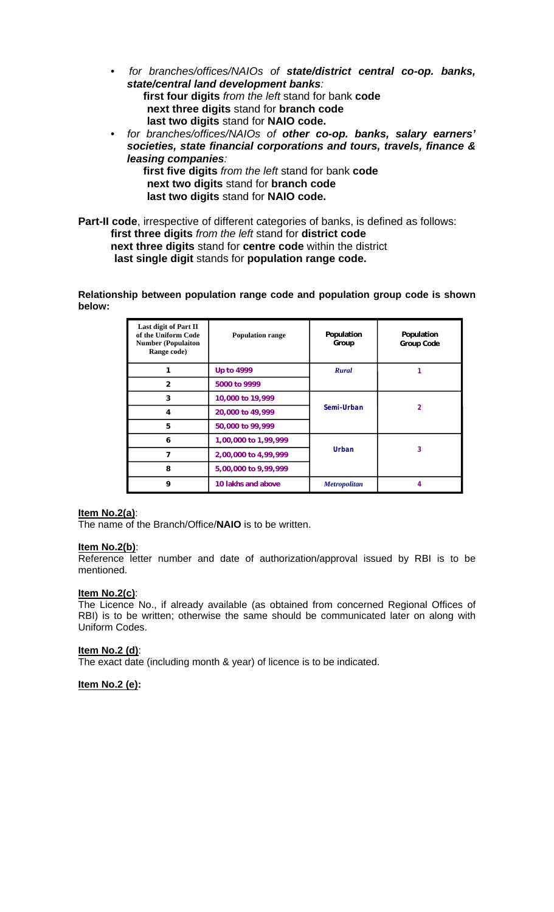- *for branches/offices/NAIOs of state/district central co-op. banks, state/central land development banks:* **first four digits** *from the left* stand for bank **code next three digits** stand for **branch code last two digits** stand for **NAIO code.**
- • *for branches/offices/NAIOs of other co-op. banks, salary earners' societies, state financial corporations and tours, travels, finance & leasing companies:*

**first five digits** *from the left* stand for bank **code next two digits** stand for **branch code last two digits** stand for **NAIO code.**

**Part-II code**, irrespective of different categories of banks, is defined as follows: **first three digits** *from the left* stand for **district code next three digits** stand for **centre code** within the district **last single digit** stands for **population range code.**

**Relationship between population range code and population group code is shown below:**

| Last digit of Part II<br>of the Uniform Code<br><b>Number (Populaiton</b><br>Range code) | <b>Population range</b> | Population<br>Group | Population<br>Group Code |
|------------------------------------------------------------------------------------------|-------------------------|---------------------|--------------------------|
|                                                                                          | Up to 4999              | <b>Rural</b>        |                          |
| $\overline{2}$                                                                           | 5000 to 9999            |                     |                          |
| 3                                                                                        | 10,000 to 19,999        |                     |                          |
| 4                                                                                        | 20,000 to 49,999        | Semi-Urban          | 2                        |
| 5                                                                                        | 50,000 to 99,999        |                     |                          |
| 6                                                                                        | 1,00,000 to 1,99,999    |                     |                          |
| 7                                                                                        | 2,00,000 to 4,99,999    | Urban               | 3                        |
| 8                                                                                        | 5,00,000 to 9,99,999    |                     |                          |
| 9                                                                                        | 10 lakhs and above      | <b>Metropolitan</b> |                          |

#### **Item No.2(a)**:

The name of the Branch/Office/**NAIO** is to be written.

#### **Item No.2(b)**:

Reference letter number and date of authorization/approval issued by RBI is to be mentioned.

### **Item No.2(c)**:

The Licence No., if already available (as obtained from concerned Regional Offices of RBI) is to be written; otherwise the same should be communicated later on along with Uniform Codes.

#### **Item No.2 (d)**:

The exact date (including month & year) of licence is to be indicated.

**Item No.2 (e):**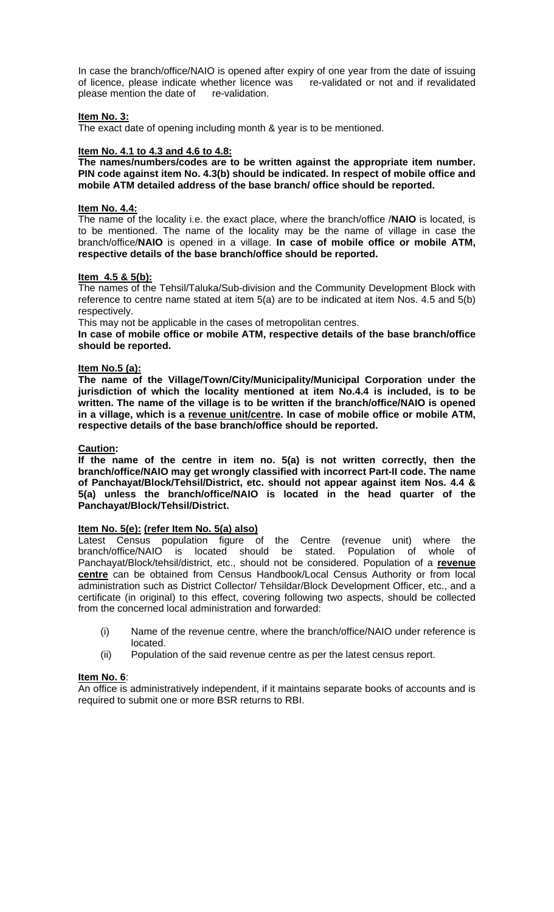In case the branch/office/NAIO is opened after expiry of one year from the date of issuing of licence, please indicate whether licence was re-validated or not and if revalidated please mention the date of re-validation.

#### **Item No. 3:**

The exact date of opening including month & year is to be mentioned.

#### **Item No. 4.1 to 4.3 and 4.6 to 4.8:**

**The names/numbers/codes are to be written against the appropriate item number. PIN code against item No. 4.3(b) should be indicated. In respect of mobile office and mobile ATM detailed address of the base branch/ office should be reported.**

#### **Item No. 4.4:**

The name of the locality i.e. the exact place, where the branch/office /**NAIO** is located, is to be mentioned. The name of the locality may be the name of village in case the branch/office/**NAIO** is opened in a village. **In case of mobile office or mobile ATM, respective details of the base branch/office should be reported.**

### **Item 4.5 & 5(b):**

The names of the Tehsil/Taluka/Sub-division and the Community Development Block with reference to centre name stated at item 5(a) are to be indicated at item Nos. 4.5 and 5(b) respectively.

This may not be applicable in the cases of metropolitan centres.

**In case of mobile office or mobile ATM, respective details of the base branch/office should be reported.**

#### **Item No.5 (a):**

**The name of the Village/Town/City/Municipality/Municipal Corporation under the jurisdiction of which the locality mentioned at item No.4.4 is included, is to be written. The name of the village is to be written if the branch/office/NAIO is opened in a village, which is a revenue unit/centre. In case of mobile office or mobile ATM, respective details of the base branch/office should be reported.**

### **Caution:**

**If the name of the centre in item no. 5(a) is not written correctly, then the branch/office/NAIO may get wrongly classified with incorrect Part-II code. The name of Panchayat/Block/Tehsil/District, etc. should not appear against item Nos. 4.4 & 5(a) unless the branch/office/NAIO is located in the head quarter of the Panchayat/Block/Tehsil/District.**

#### **Item No. 5(e): (refer Item No. 5(a) also)**

Latest Census population figure of the Centre (revenue unit) where the branch/office/NAIO is located should be stated. Population of whole of branch/office/NAIO is located should be stated. Panchayat/Block/tehsil/district, etc., should not be considered. Population of a **revenue centre** can be obtained from Census Handbook/Local Census Authority or from local administration such as District Collector/ Tehsildar/Block Development Officer, etc., and a certificate (in original) to this effect, covering following two aspects, should be collected from the concerned local administration and forwarded:

- (i) Name of the revenue centre, where the branch/office/NAIO under reference is located.
- (ii) Population of the said revenue centre as per the latest census report.

#### **Item No. 6**:

An office is administratively independent, if it maintains separate books of accounts and is required to submit one or more BSR returns to RBI.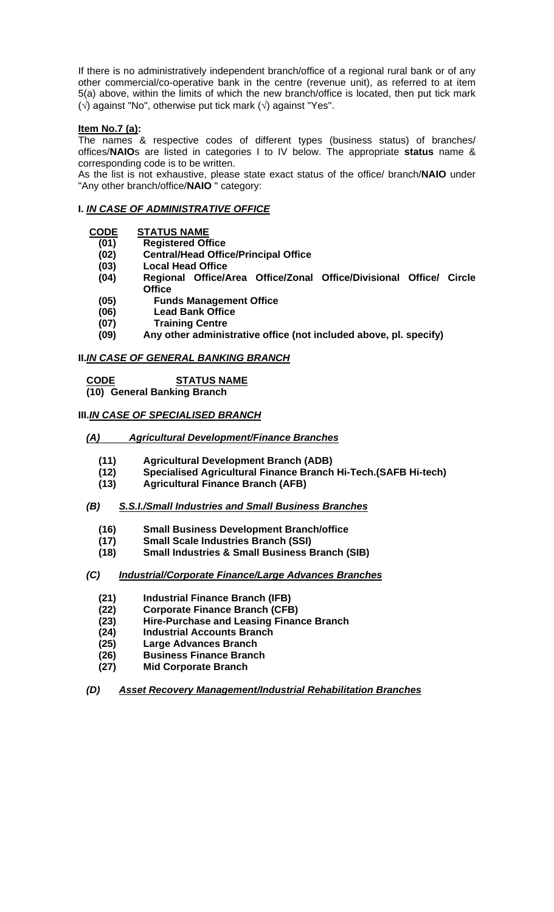If there is no administratively independent branch/office of a regional rural bank or of any other commercial/co-operative bank in the centre (revenue unit), as referred to at item 5(a) above, within the limits of which the new branch/office is located, then put tick mark  $(\sqrt{2})$  against "No", otherwise put tick mark  $(\sqrt{2})$  against "Yes".

# **Item No.7 (a):**

The names & respective codes of different types (business status) of branches/ offices/**NAIO**s are listed in categories I to IV below. The appropriate **status** name & corresponding code is to be written.

As the list is not exhaustive, please state exact status of the office/ branch/**NAIO** under "Any other branch/office/**NAIO** " category:

# **I.** *IN CASE OF ADMINISTRATIVE OFFICE*

# **CODE STATUS NAME**

- **(01) Registered Office**
- **(02) Central/Head Office/Principal Office**
- **(03) Local Head Office**
- **(04) Regional Office/Area Office/Zonal Office/Divisional Office/ Circle Office**
- **(05) Funds Management Office**
- **(06) Lead Bank Office**
- **(07) Training Centre**
- **(09) Any other administrative office (not included above, pl. specify)**

# **II.***IN CASE OF GENERAL BANKING BRANCH*

 **CODE STATUS NAME** 

 **(10) General Banking Branch**

# **III.***IN CASE OF SPECIALISED BRANCH*

# *(A) Agricultural Development/Finance Branches*

- **(11) Agricultural Development Branch (ADB)**
- **(12) Specialised Agricultural Finance Branch Hi-Tech.(SAFB Hi-tech)**
- **(13) Agricultural Finance Branch (AFB)**

# *(B) S.S.I./Small Industries and Small Business Branches*

- **(16) Small Business Development Branch/office**
- **(17) Small Scale Industries Branch (SSI)**
- **(18) Small Industries & Small Business Branch (SIB)**

# *(C) Industrial/Corporate Finance/Large Advances Branches*

- **(21) Industrial Finance Branch (IFB)**
- **(22) Corporate Finance Branch (CFB)**
- **(23) Hire-Purchase and Leasing Finance Branch**
- **(24) Industrial Accounts Branch**
- **(25) Large Advances Branch**
- **(26) Business Finance Branch**
- **(27) Mid Corporate Branch**
- *(D) Asset Recovery Management/Industrial Rehabilitation Branches*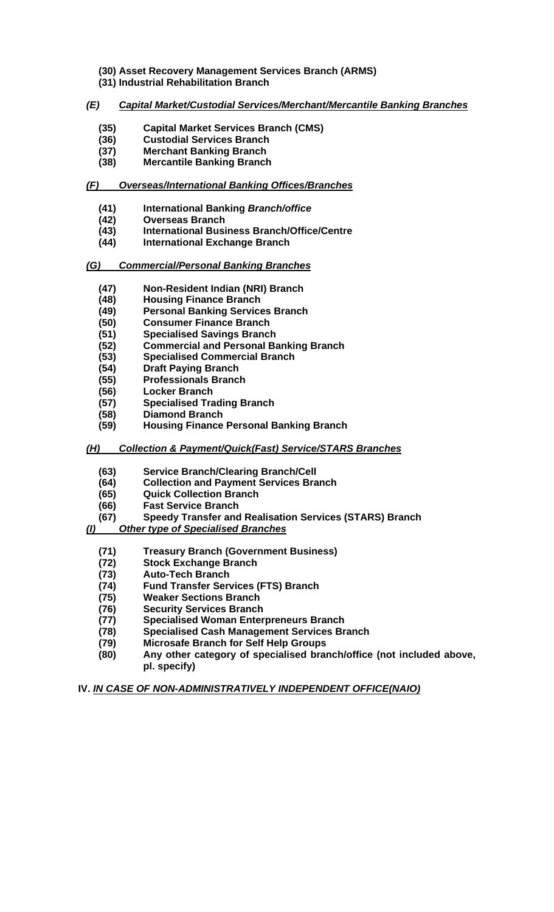- **(30) Asset Recovery Management Services Branch (ARMS) (31) Industrial Rehabilitation Branch**
- *(E) Capital Market/Custodial Services/Merchant/Mercantile Banking Branches*
	- **(35) Capital Market Services Branch (CMS)**
	- **(36) Custodial Services Branch**
	- **(37) Merchant Banking Branch**
	- **(38) Mercantile Banking Branch**

# *(F) Overseas/International Banking Offices/Branches*

- **(41) International Banking** *Branch/office*
- **(42) Overseas Branch**
- **(43) International Business Branch/Office/Centre**
- **(44) International Exchange Branch**
- *(G) Commercial/Personal Banking Branches*
	- **(47) Non-Resident Indian (NRI) Branch**
	-
	- **(48) Housing Finance Branch (49) Personal Banking Services Branch**
	- **(50) Consumer Finance Branch**
	- **(51) Specialised Savings Branch**
	- **(52) Commercial and Personal Banking Branch**
	- **(53) Specialised Commercial Branch**
	- **(54) Draft Paying Branch**
	- **(55) Professionals Branch**
	- **(56) Locker Branch**
	- **(57) Specialised Trading Branch**
	- **(58) Diamond Branch**
	- **(59) Housing Finance Personal Banking Branch**

# *(H) Collection & Payment/Quick(Fast) Service/STARS Branches*

- **(63) Service Branch/Clearing Branch/Cell**
- **(64) Collection and Payment Services Branch**
- **(65) Quick Collection Branch**
- **(66) Fast Service Branch**

# **(67) Speedy Transfer and Realisation Services (STARS) Branch**

# *(I) Other type of Specialised Branches*

- **(71) Treasury Branch (Government Business)**
- **(72) Stock Exchange Branch**
- **(73) Auto-Tech Branch**
- **(74) Fund Transfer Services (FTS) Branch**
- **(75) Weaker Sections Branch**
- **(76) Security Services Branch**
- **(77) Specialised Woman Enterpreneurs Branch**
- **(78) Specialised Cash Management Services Branch**
- **(79) Microsafe Branch for Self Help Groups**
- **(80) Any other category of specialised branch/office (not included above, pl. specify)**

**IV.** *IN CASE OF NON-ADMINISTRATIVELY INDEPENDENT OFFICE(NAIO)*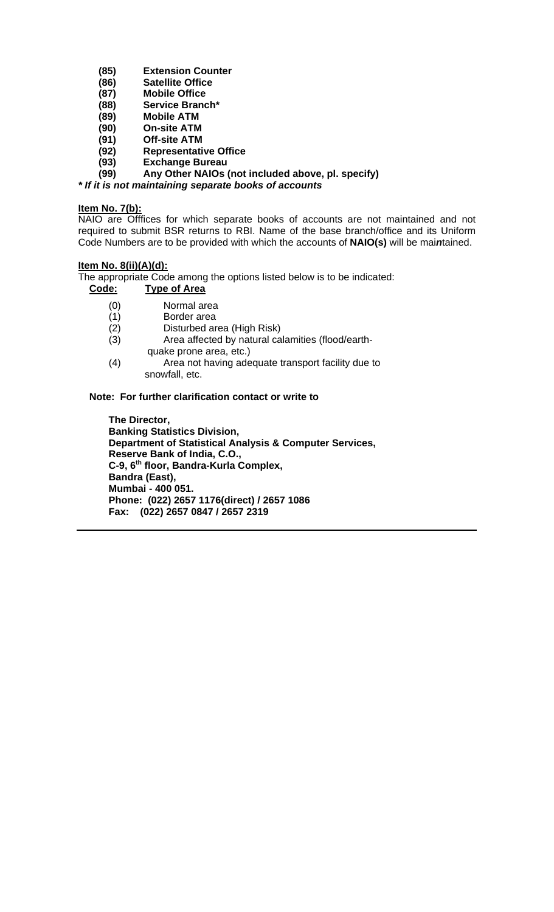- **(85) Extension Counter**
- **(86) Satellite Office**
- **(87) Mobile Office**
- **(88) Service Branch\***
- **(89) Mobile ATM**
- **(90) On-site ATM**
- **(91) Off-site ATM**
- **(92) Representative Office**
- **(93) Exchange Bureau**

**(99) Any Other NAIOs (not included above, pl. specify)**

*\* If it is not maintaining separate books of accounts*

#### **Item No. 7(b):**

NAIO are Offfices for which separate books of accounts are not maintained and not required to submit BSR returns to RBI. Name of the base branch/office and its Uniform Code Numbers are to be provided with which the accounts of **NAIO(s)** will be mai*n*tained.

### **Item No. 8(ii)(A)(d):**

The appropriate Code among the options listed below is to be indicated:

### **Code: Type of Area**

- (0) Normal area
- (1) Border area
- (2) Disturbed area (High Risk)
- (3) Area affected by natural calamities (flood/earth quake prone area, etc.)
- (4) Area not having adequate transport facility due to snowfall, etc.

# **Note: For further clarification contact or write to**

 **The Director, Banking Statistics Division, Department of Statistical Analysis & Computer Services, Reserve Bank of India, C.O., C-9, 6th floor, Bandra-Kurla Complex, Bandra (East), Mumbai - 400 051. Phone: (022) 2657 1176(direct) / 2657 1086 Fax: (022) 2657 0847 / 2657 2319**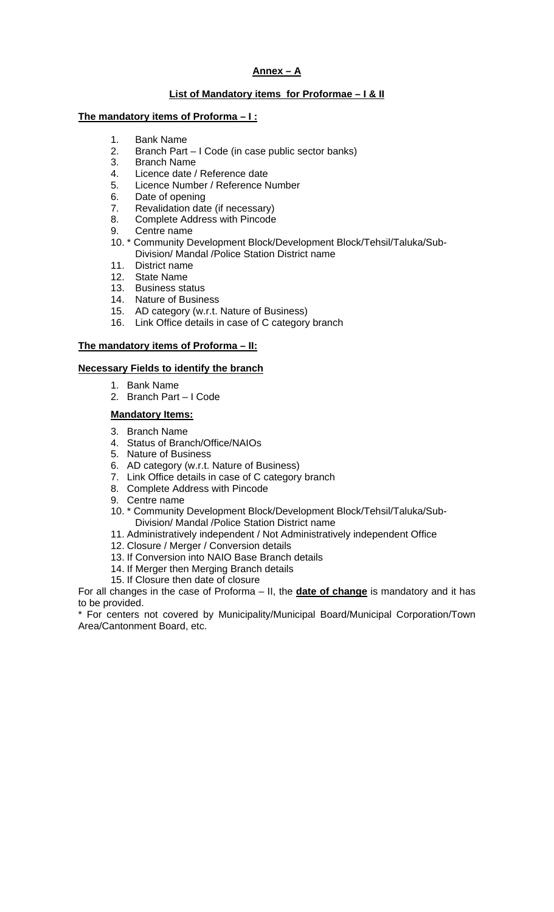# **Annex – A**

### **List of Mandatory items for Proformae – I & II**

#### **The mandatory items of Proforma – I :**

- 1. Bank Name
- 2. Branch Part I Code (in case public sector banks)<br>3. Branch Name
- **Branch Name**
- 4. Licence date / Reference date
- 5. Licence Number / Reference Number
- 6. Date of opening
- 7. Revalidation date (if necessary)
- 8. Complete Address with Pincode
- 9. Centre name
- 10. \* Community Development Block/Development Block/Tehsil/Taluka/Sub-Division/ Mandal /Police Station District name
- 11. District name
- 12. State Name
- 13. Business status
- 14. Nature of Business
- 15. AD category (w.r.t. Nature of Business)
- 16. Link Office details in case of C category branch

### **The mandatory items of Proforma – II:**

### **Necessary Fields to identify the branch**

- 1. Bank Name
- 2. Branch Part I Code

### **Mandatory Items:**

- 3. Branch Name
- 4. Status of Branch/Office/NAIOs
- 5. Nature of Business
- 6. AD category (w.r.t. Nature of Business)
- 7. Link Office details in case of C category branch
- 8. Complete Address with Pincode
- 9. Centre name
- 10. \* Community Development Block/Development Block/Tehsil/Taluka/Sub-Division/ Mandal /Police Station District name
- 11. Administratively independent / Not Administratively independent Office
- 12. Closure / Merger / Conversion details
- 13. If Conversion into NAIO Base Branch details
- 14. If Merger then Merging Branch details
- 15. If Closure then date of closure

For all changes in the case of Proforma – II, the **date of change** is mandatory and it has to be provided.

\* For centers not covered by Municipality/Municipal Board/Municipal Corporation/Town Area/Cantonment Board, etc.